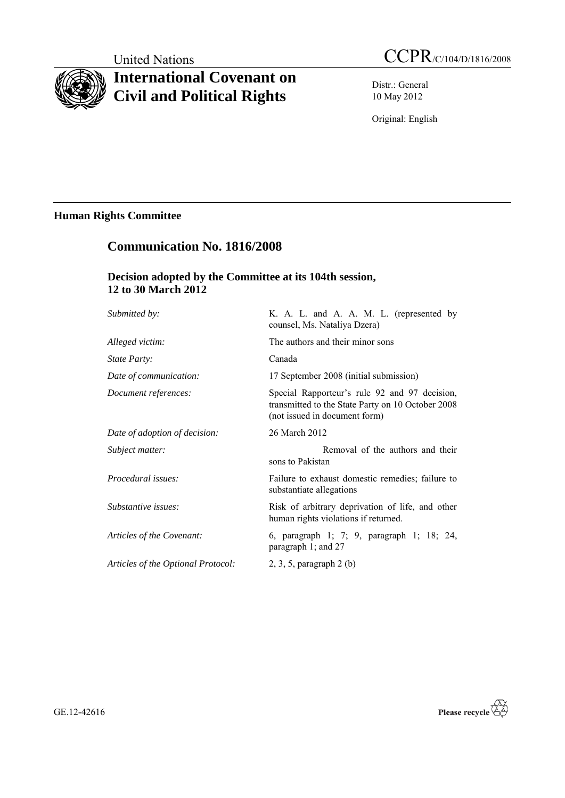# **International Covenant on Civil and Political Rights**

Distr.: General 10 May 2012

Original: English

# **Human Rights Committee**

# **Communication No. 1816/2008**

# **Decision adopted by the Committee at its 104th session, 12 to 30 March 2012**

| Submitted by:                 | K. A. L. and A. A. M. L. (represented by<br>counsel, Ms. Nataliya Dzera)                                                            |
|-------------------------------|-------------------------------------------------------------------------------------------------------------------------------------|
| Alleged victim:               | The authors and their minor sons                                                                                                    |
| State Party:                  | Canada                                                                                                                              |
| Date of communication:        | 17 September 2008 (initial submission)                                                                                              |
| Document references:          | Special Rapporteur's rule 92 and 97 decision,<br>transmitted to the State Party on 10 October 2008<br>(not issued in document form) |
| Date of adoption of decision: | 26 March 2012                                                                                                                       |
|                               |                                                                                                                                     |
| Subject matter:               | Removal of the authors and their<br>sons to Pakistan                                                                                |
| <i>Procedural issues:</i>     | Failure to exhaust domestic remedies; failure to<br>substantiate allegations                                                        |
| Substantive issues:           | Risk of arbitrary deprivation of life, and other<br>human rights violations if returned.                                            |
| Articles of the Covenant:     | 6, paragraph 1; 7; 9, paragraph 1; 18; 24,<br>paragraph 1; and 27                                                                   |

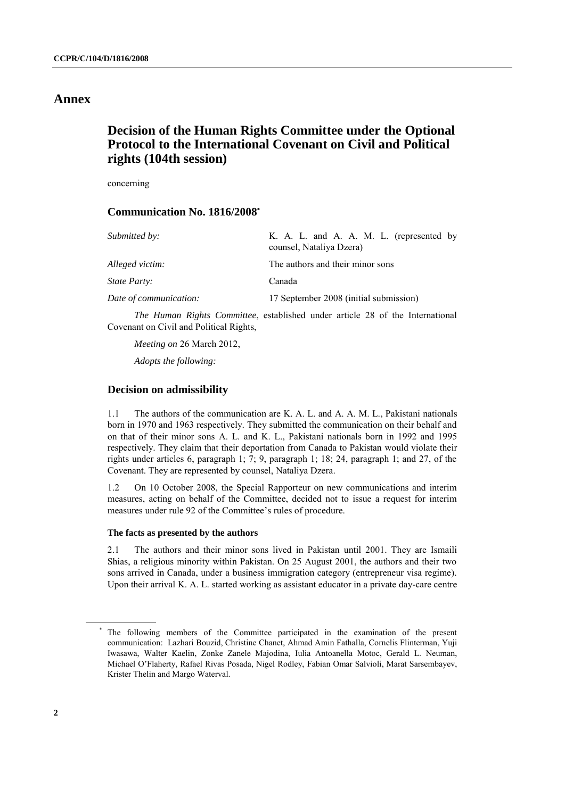# **Annex**

# **Decision of the Human Rights Committee under the Optional Protocol to the International Covenant on Civil and Political rights (104th session)**

concerning

## **Communication No. 1816/2008 \***

| <i>Submitted by:</i>   | K. A. L. and A. A. M. L. (represented by<br>counsel, Nataliya Dzera)                 |
|------------------------|--------------------------------------------------------------------------------------|
| Alleged victim:        | The authors and their minor sons                                                     |
| State Party:           | Canada                                                                               |
| Date of communication: | 17 September 2008 (initial submission)                                               |
|                        | <i>The Human Rights Committee, established under article 28 of the International</i> |

Covenant on Civil and Political Rights,

*Meeting on* 26 March 2012,

*Adopts the following:*

### **Decision on admissibility**

1.1 The authors of the communication are K. A. L. and A. A. M. L., Pakistani nationals born in 1970 and 1963 respectively. They submitted the communication on their behalf and on that of their minor sons A. L. and K. L., Pakistani nationals born in 1992 and 1995 respectively. They claim that their deportation from Canada to Pakistan would violate their rights under articles 6, paragraph 1; 7; 9, paragraph 1; 18; 24, paragraph 1; and 27, of the Covenant. They are represented by counsel, Nataliya Dzera.

1.2 On 10 October 2008, the Special Rapporteur on new communications and interim measures, acting on behalf of the Committee, decided not to issue a request for interim measures under rule 92 of the Committee's rules of procedure.

#### **The facts as presented by the authors**

2.1 The authors and their minor sons lived in Pakistan until 2001. They are Ismaili Shias, a religious minority within Pakistan. On 25 August 2001, the authors and their two sons arrived in Canada, under a business immigration category (entrepreneur visa regime). Upon their arrival K. A. L. started working as assistant educator in a private day-care centre

<sup>\*</sup> The following members of the Committee participated in the examination of the present communication: Lazhari Bouzid, Christine Chanet, Ahmad Amin Fathalla, Cornelis Flinterman, Yuji Iwasawa, Walter Kaelin, Zonke Zanele Majodina, Iulia Antoanella Motoc, Gerald L. Neuman, Michael O'Flaherty, Rafael Rivas Posada, Nigel Rodley, Fabian Omar Salvioli, Marat Sarsembayev, Krister Thelin and Margo Waterval.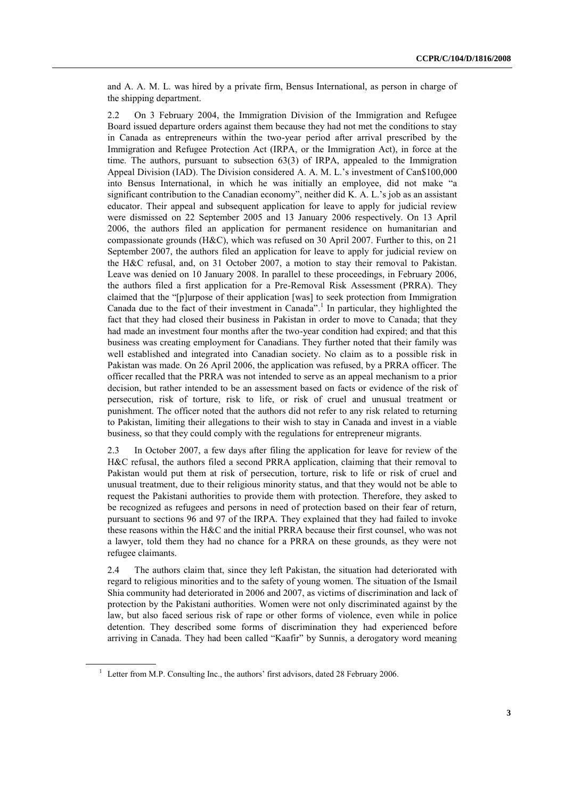and A. A. M. L. was hired by a private firm, Bensus International, as person in charge of the shipping department.

2.2 On 3 February 2004, the Immigration Division of the Immigration and Refugee Board issued departure orders against them because they had not met the conditions to stay in Canada as entrepreneurs within the two-year period after arrival prescribed by the Immigration and Refugee Protection Act (IRPA, or the Immigration Act), in force at the time. The authors, pursuant to subsection 63(3) of IRPA, appealed to the Immigration Appeal Division (IAD). The Division considered A. A. M. L.'s investment of Can\$100,000 into Bensus International, in which he was initially an employee, did not make "a significant contribution to the Canadian economy", neither did K. A. L.'s job as an assistant educator. Their appeal and subsequent application for leave to apply for judicial review were dismissed on 22 September 2005 and 13 January 2006 respectively. On 13 April 2006, the authors filed an application for permanent residence on humanitarian and compassionate grounds (H&C), which was refused on 30 April 2007. Further to this, on 21 September 2007, the authors filed an application for leave to apply for judicial review on the H&C refusal, and, on 31 October 2007, a motion to stay their removal to Pakistan. Leave was denied on 10 January 2008. In parallel to these proceedings, in February 2006, the authors filed a first application for a Pre-Removal Risk Assessment (PRRA). They claimed that the "[p]urpose of their application [was] to seek protection from Immigration Canada due to the fact of their investment in Canada". 1 In particular, they highlighted the fact that they had closed their business in Pakistan in order to move to Canada; that they had made an investment four months after the two-year condition had expired; and that this business was creating employment for Canadians. They further noted that their family was well established and integrated into Canadian society. No claim as to a possible risk in Pakistan was made. On 26 April 2006, the application was refused, by a PRRA officer. The officer recalled that the PRRA was not intended to serve as an appeal mechanism to a prior decision, but rather intended to be an assessment based on facts or evidence of the risk of persecution, risk of torture, risk to life, or risk of cruel and unusual treatment or punishment. The officer noted that the authors did not refer to any risk related to returning to Pakistan, limiting their allegations to their wish to stay in Canada and invest in a viable business, so that they could comply with the regulations for entrepreneur migrants.

2.3 In October 2007, a few days after filing the application for leave for review of the H&C refusal, the authors filed a second PRRA application, claiming that their removal to Pakistan would put them at risk of persecution, torture, risk to life or risk of cruel and unusual treatment, due to their religious minority status, and that they would not be able to request the Pakistani authorities to provide them with protection. Therefore, they asked to be recognized as refugees and persons in need of protection based on their fear of return, pursuant to sections 96 and 97 of the IRPA. They explained that they had failed to invoke these reasons within the H&C and the initial PRRA because their first counsel, who was not a lawyer, told them they had no chance for a PRRA on these grounds, as they were not refugee claimants.

2.4 The authors claim that, since they left Pakistan, the situation had deteriorated with regard to religious minorities and to the safety of young women. The situation of the Ismail Shia community had deteriorated in 2006 and 2007, as victims of discrimination and lack of protection by the Pakistani authorities. Women were not only discriminated against by the law, but also faced serious risk of rape or other forms of violence, even while in police detention. They described some forms of discrimination they had experienced before arriving in Canada. They had been called "Kaafir" by Sunnis, a derogatory word meaning

<sup>&</sup>lt;sup>1</sup> Letter from M.P. Consulting Inc., the authors' first advisors, dated 28 February 2006.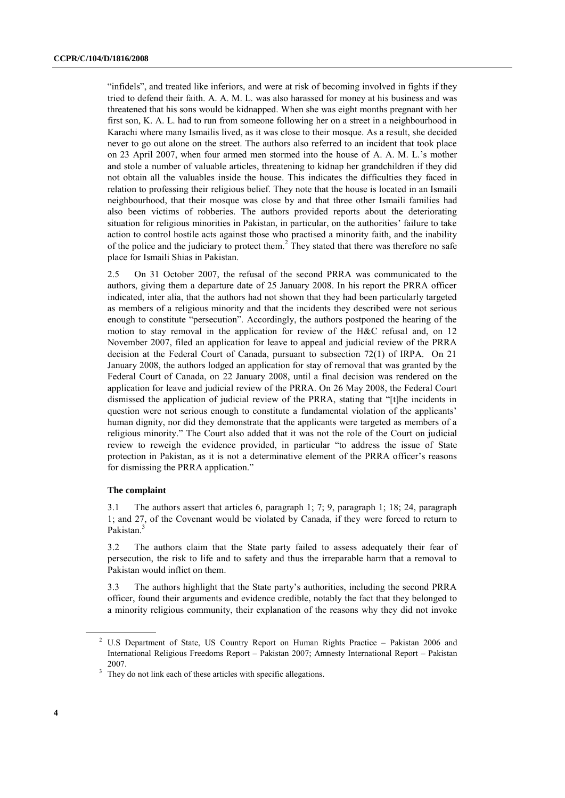"infidels", and treated like inferiors, and were at risk of becoming involved in fights if they tried to defend their faith. A. A. M. L. was also harassed for money at his business and was threatened that his sons would be kidnapped. When she was eight months pregnant with her first son, K. A. L. had to run from someone following her on a street in a neighbourhood in Karachi where many Ismailis lived, as it was close to their mosque. As a result, she decided never to go out alone on the street. The authors also referred to an incident that took place on 23 April 2007, when four armed men stormed into the house of A. A. M. L.'s mother and stole a number of valuable articles, threatening to kidnap her grandchildren if they did not obtain all the valuables inside the house. This indicates the difficulties they faced in relation to professing their religious belief. They note that the house is located in an Ismaili neighbourhood, that their mosque was close by and that three other Ismaili families had also been victims of robberies. The authors provided reports about the deteriorating situation for religious minorities in Pakistan, in particular, on the authorities' failure to take action to control hostile acts against those who practised a minority faith, and the inability of the police and the judiciary to protect them.<sup>2</sup> They stated that there was therefore no safe place for Ismaili Shias in Pakistan.

2.5 On 31 October 2007, the refusal of the second PRRA was communicated to the authors, giving them a departure date of 25 January 2008. In his report the PRRA officer indicated, inter alia, that the authors had not shown that they had been particularly targeted as members of a religious minority and that the incidents they described were not serious enough to constitute "persecution". Accordingly, the authors postponed the hearing of the motion to stay removal in the application for review of the H&C refusal and, on 12 November 2007, filed an application for leave to appeal and judicial review of the PRRA decision at the Federal Court of Canada, pursuant to subsection 72(1) of IRPA. On 21 January 2008, the authors lodged an application for stay of removal that was granted by the Federal Court of Canada, on 22 January 2008, until a final decision was rendered on the application for leave and judicial review of the PRRA. On 26 May 2008, the Federal Court dismissed the application of judicial review of the PRRA, stating that "[t]he incidents in question were not serious enough to constitute a fundamental violation of the applicants' human dignity, nor did they demonstrate that the applicants were targeted as members of a religious minority." The Court also added that it was not the role of the Court on judicial review to reweigh the evidence provided, in particular "to address the issue of State protection in Pakistan, as it is not a determinative element of the PRRA officer's reasons for dismissing the PRRA application."

#### **The complaint**

3.1 The authors assert that articles 6, paragraph 1; 7; 9, paragraph 1; 18; 24, paragraph 1; and 27, of the Covenant would be violated by Canada, if they were forced to return to Pakistan.<sup>3</sup>

3.2 The authors claim that the State party failed to assess adequately their fear of persecution, the risk to life and to safety and thus the irreparable harm that a removal to Pakistan would inflict on them.

3.3 The authors highlight that the State party's authorities, including the second PRRA officer, found their arguments and evidence credible, notably the fact that they belonged to a minority religious community, their explanation of the reasons why they did not invoke

<sup>&</sup>lt;sup>2</sup> U.S Department of State, US Country Report on Human Rights Practice - Pakistan 2006 and International Religious Freedoms Report – Pakistan 2007; Amnesty International Report – Pakistan 2007.

<sup>&</sup>lt;sup>3</sup> They do not link each of these articles with specific allegations.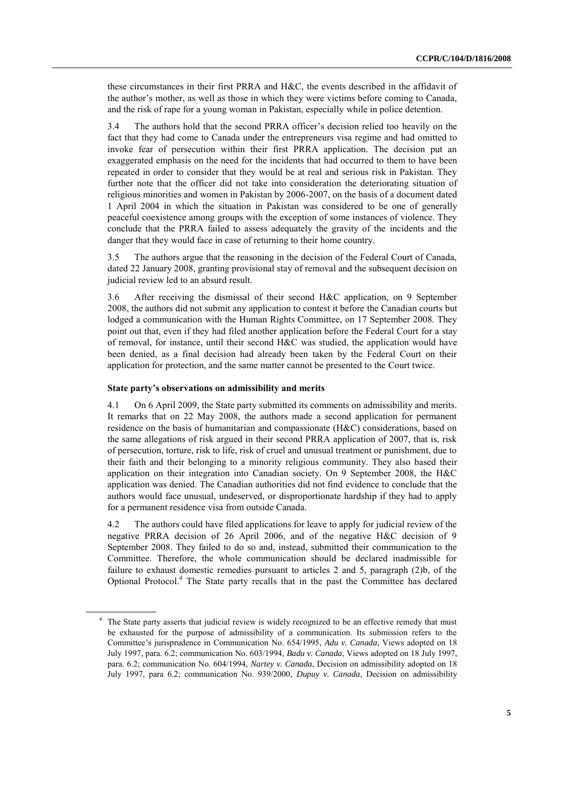these circumstances in their first PRRA and H&C, the events described in the affidavit of the author's mother, as well as those in which they were victims before coming to Canada, and the risk of rape for a young woman in Pakistan, especially while in police detention.

3.4 The authors hold that the second PRRA officer's decision relied too heavily on the fact that they had come to Canada under the entrepreneurs visa regime and had omitted to invoke fear of persecution within their first PRRA application. The decision put an exaggerated emphasis on the need for the incidents that had occurred to them to have been repeated in order to consider that they would be at real and serious risk in Pakistan. They further note that the officer did not take into consideration the deteriorating situation of religious minorities and women in Pakistan by 2006-2007, on the basis of a document dated 1 April 2004 in which the situation in Pakistan was considered to be one of generally peaceful coexistence among groups with the exception of some instances of violence. They conclude that the PRRA failed to assess adequately the gravity of the incidents and the danger that they would face in case of returning to their home country.

3.5 The authors argue that the reasoning in the decision of the Federal Court of Canada, dated 22 January 2008, granting provisional stay of removal and the subsequent decision on judicial review led to an absurd result.

3.6 After receiving the dismissal of their second H&C application, on 9 September 2008, the authors did not submit any application to contest it before the Canadian courts but lodged a communication with the Human Rights Committee, on 17 September 2008. They point out that, even if they had filed another application before the Federal Court for a stay of removal, for instance, until their second H&C was studied, the application would have been denied, as a final decision had already been taken by the Federal Court on their application for protection, and the same matter cannot be presented to the Court twice.

#### **State party's observations on admissibility and merits**

4.1 On 6 April 2009, the State party submitted its comments on admissibility and merits. It remarks that on 22 May 2008, the authors made a second application for permanent residence on the basis of humanitarian and compassionate (H&C) considerations, based on the same allegations of risk argued in their second PRRA application of 2007, that is, risk of persecution, torture, risk to life, risk of cruel and unusual treatment or punishment, due to their faith and their belonging to a minority religious community. They also based their application on their integration into Canadian society. On 9 September 2008, the H&C application was denied. The Canadian authorities did not find evidence to conclude that the authors would face unusual, undeserved, or disproportionate hardship if they had to apply for a permanent residence visa from outside Canada.

4.2 The authors could have filed applications for leave to apply for judicial review of the negative PRRA decision of 26 April 2006, and of the negative H&C decision of 9 September 2008. They failed to do so and, instead, submitted their communication to the Committee. Therefore, the whole communication should be declared inadmissible for failure to exhaust domestic remedies pursuant to articles 2 and 5, paragraph (2)b, of the Optional Protocol.<sup>4</sup> The State party recalls that in the past the Committee has declared

<sup>&</sup>lt;sup>4</sup> The State party asserts that judicial review is widely recognized to be an effective remedy that must be exhausted for the purpose of admissibility of a communication. Its submission refers to the Committee's jurisprudence in Communication No. 654/1995, *Adu v. Canada*, Views adopted on 18 July 1997, para. 6.2; communication No. 603/1994, *Badu v. Canada*, Views adopted on 18 July 1997, para. 6.2; communication No. 604/1994, *Nartey v. Canada*, Decision on admissibility adopted on 18 July 1997, para 6.2; communication No. 939/2000, *Dupuy v. Canada*, Decision on admissibility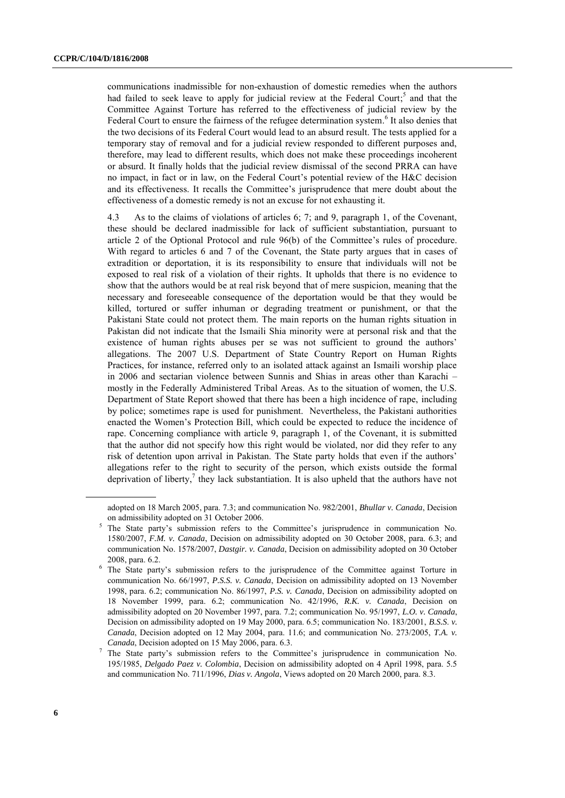communications inadmissible for non-exhaustion of domestic remedies when the authors had failed to seek leave to apply for judicial review at the Federal Court;<sup>5</sup> and that the Committee Against Torture has referred to the effectiveness of judicial review by the Federal Court to ensure the fairness of the refugee determination system.<sup>6</sup> It also denies that the two decisions of its Federal Court would lead to an absurd result. The tests applied for a temporary stay of removal and for a judicial review responded to different purposes and, therefore, may lead to different results, which does not make these proceedings incoherent or absurd. It finally holds that the judicial review dismissal of the second PRRA can have no impact, in fact or in law, on the Federal Court's potential review of the H&C decision and its effectiveness. It recalls the Committee's jurisprudence that mere doubt about the effectiveness of a domestic remedy is not an excuse for not exhausting it.

4.3 As to the claims of violations of articles 6; 7; and 9, paragraph 1, of the Covenant, these should be declared inadmissible for lack of sufficient substantiation, pursuant to article 2 of the Optional Protocol and rule 96(b) of the Committee's rules of procedure. With regard to articles 6 and 7 of the Covenant, the State party argues that in cases of extradition or deportation, it is its responsibility to ensure that individuals will not be exposed to real risk of a violation of their rights. It upholds that there is no evidence to show that the authors would be at real risk beyond that of mere suspicion, meaning that the necessary and foreseeable consequence of the deportation would be that they would be killed, tortured or suffer inhuman or degrading treatment or punishment, or that the Pakistani State could not protect them. The main reports on the human rights situation in Pakistan did not indicate that the Ismaili Shia minority were at personal risk and that the existence of human rights abuses per se was not sufficient to ground the authors' allegations. The 2007 U.S. Department of State Country Report on Human Rights Practices, for instance, referred only to an isolated attack against an Ismaili worship place in 2006 and sectarian violence between Sunnis and Shias in areas other than Karachi – mostly in the Federally Administered Tribal Areas. As to the situation of women, the U.S. Department of State Report showed that there has been a high incidence of rape, including by police; sometimes rape is used for punishment. Nevertheless, the Pakistani authorities enacted the Women's Protection Bill, which could be expected to reduce the incidence of rape. Concerning compliance with article 9, paragraph 1, of the Covenant, it is submitted that the author did not specify how this right would be violated, nor did they refer to any risk of detention upon arrival in Pakistan. The State party holds that even if the authors' allegations refer to the right to security of the person, which exists outside the formal deprivation of liberty, 7 they lack substantiation. It is also upheld that the authors have not

adopted on 18 March 2005, para. 7.3; and communication No. 982/2001, *Bhullar v. Canada*, Decision on admissibility adopted on 31 October 2006.

<sup>5</sup> The State party's submission refers to the Committee's jurisprudence in communication No. 1580/2007, *F.M. v. Canada*, Decision on admissibility adopted on 30 October 2008, para. 6.3; and communication No. 1578/2007, *Dastgir. v. Canada*, Decision on admissibility adopted on 30 October 2008, para. 6.2.

<sup>&</sup>lt;sup>6</sup> The State party's submission refers to the jurisprudence of the Committee against Torture in communication No. 66/1997, *P.S.S. v. Canada*, Decision on admissibility adopted on 13 November 1998, para. 6.2; communication No. 86/1997, *P.S. v. Canada*, Decision on admissibility adopted on 18 November 1999, para. 6.2; communication No. 42/1996, *R.K. v. Canada*, Decision on admissibility adopted on 20 November 1997, para. 7.2; communication No. 95/1997, *L.O. v. Canada*, Decision on admissibility adopted on 19 May 2000, para. 6.5; communication No. 183/2001, *B.S.S*. *v. Canada*, Decision adopted on 12 May 2004, para. 11.6; and communication No. 273/2005, *T.A. v. Canada*, Decision adopted on 15 May 2006, para. 6.3.

<sup>7</sup> The State party's submission refers to the Committee's jurisprudence in communication No. 195/1985, *Delgado Paez v. Colombia*, Decision on admissibility adopted on 4 April 1998, para. 5.5 and communication No. 711/1996, *Dias v. Angola*, Views adopted on 20 March 2000, para. 8.3.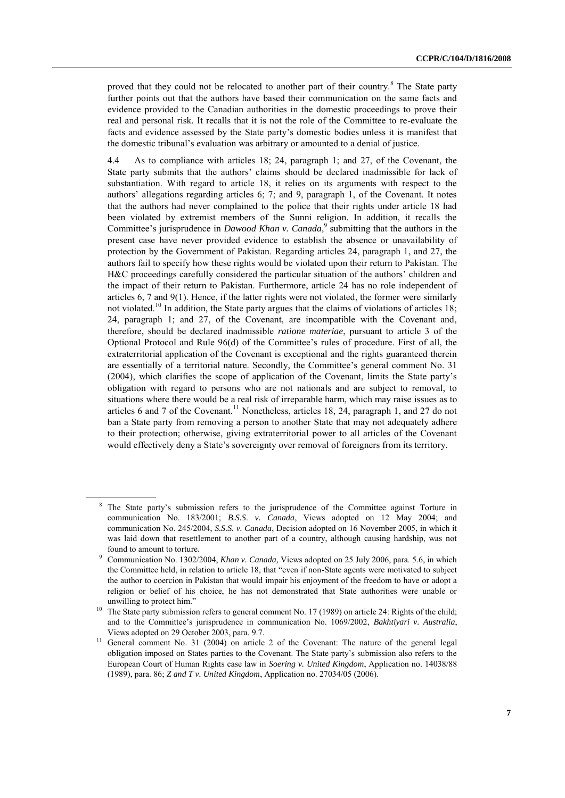proved that they could not be relocated to another part of their country.<sup>8</sup> The State party further points out that the authors have based their communication on the same facts and evidence provided to the Canadian authorities in the domestic proceedings to prove their real and personal risk. It recalls that it is not the role of the Committee to re-evaluate the facts and evidence assessed by the State party's domestic bodies unless it is manifest that the domestic tribunal's evaluation was arbitrary or amounted to a denial of justice.

4.4 As to compliance with articles 18; 24, paragraph 1; and 27, of the Covenant, the State party submits that the authors' claims should be declared inadmissible for lack of substantiation. With regard to article 18, it relies on its arguments with respect to the authors' allegations regarding articles 6; 7; and 9, paragraph 1, of the Covenant. It notes that the authors had never complained to the police that their rights under article 18 had been violated by extremist members of the Sunni religion. In addition, it recalls the Committee's jurisprudence in *Dawood Khan v. Canada,* 9 submitting that the authors in the present case have never provided evidence to establish the absence or unavailability of protection by the Government of Pakistan. Regarding articles 24, paragraph 1, and 27, the authors fail to specify how these rights would be violated upon their return to Pakistan. The H&C proceedings carefully considered the particular situation of the authors' children and the impact of their return to Pakistan. Furthermore, article 24 has no role independent of articles 6, 7 and 9(1). Hence, if the latter rights were not violated, the former were similarly not violated.<sup>10</sup> In addition, the State party argues that the claims of violations of articles 18; 24, paragraph 1; and 27, of the Covenant, are incompatible with the Covenant and, therefore, should be declared inadmissible *ratione materiae*, pursuant to article 3 of the Optional Protocol and Rule 96(d) of the Committee's rules of procedure. First of all, the extraterritorial application of the Covenant is exceptional and the rights guaranteed therein are essentially of a territorial nature. Secondly, the Committee's general comment No. 31 (2004), which clarifies the scope of application of the Covenant, limits the State party's obligation with regard to persons who are not nationals and are subject to removal, to situations where there would be a real risk of irreparable harm, which may raise issues as to articles 6 and 7 of the Covenant.<sup>11</sup> Nonetheless, articles 18, 24, paragraph 1, and 27 do not ban a State party from removing a person to another State that may not adequately adhere to their protection; otherwise, giving extraterritorial power to all articles of the Covenant would effectively deny a State's sovereignty over removal of foreigners from its territory.

The State party's submission refers to the jurisprudence of the Committee against Torture in communication No. 183/2001; *B.S.S*. *v. Canada*, Views adopted on 12 May 2004; and communication No. 245/2004, *S.S.S. v. Canada*, Decision adopted on 16 November 2005, in which it was laid down that resettlement to another part of a country, although causing hardship, was not found to amount to torture.

<sup>9</sup> Communication No. 1302/2004, *Khan v. Canada,* Views adopted on 25 July 2006, para. 5.6, in which the Committee held, in relation to article 18, that "even if non-State agents were motivated to subject the author to coercion in Pakistan that would impair his enjoyment of the freedom to have or adopt a religion or belief of his choice, he has not demonstrated that State authorities were unable or unwilling to protect him."

<sup>&</sup>lt;sup>10</sup> The State party submission refers to general comment No. 17 (1989) on article 24: Rights of the child; and to the Committee's jurisprudence in communication No. 1069/2002, *Bakhtiyari v. Australia*, Views adopted on 29 October 2003, para. 9.7.

<sup>&</sup>lt;sup>11</sup> General comment No. 31 (2004) on article 2 of the Covenant: The nature of the general legal obligation imposed on States parties to the Covenant. The State party's submission also refers to the European Court of Human Rights case law in *Soering v. United Kingdom*, Application no. 14038/88 (1989), para. 86; *Z and T v. United Kingdom*, Application no. 27034/05 (2006).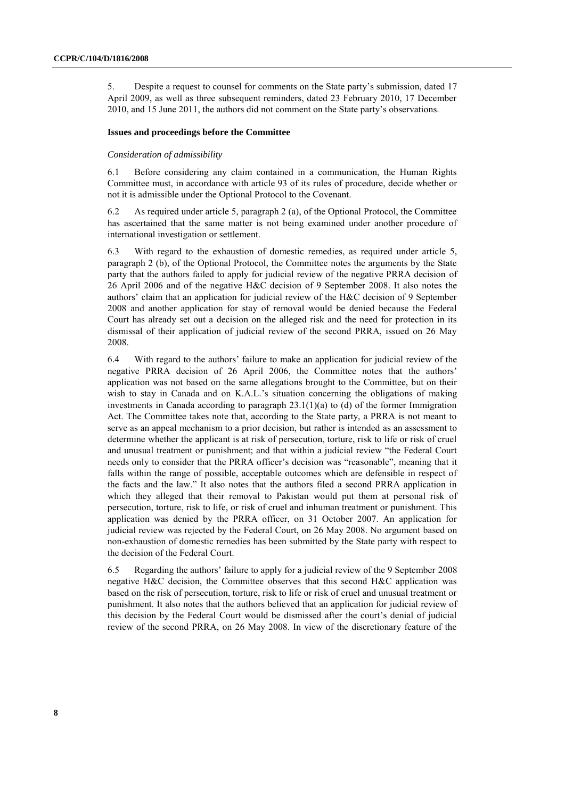5. Despite a request to counsel for comments on the State party's submission, dated 17 April 2009, as well as three subsequent reminders, dated 23 February 2010, 17 December 2010, and 15 June 2011, the authors did not comment on the State party's observations.

#### **Issues and proceedings before the Committee**

#### *Consideration of admissibility*

6.1 Before considering any claim contained in a communication, the Human Rights Committee must, in accordance with article 93 of its rules of procedure, decide whether or not it is admissible under the Optional Protocol to the Covenant.

6.2 As required under article 5, paragraph 2 (a), of the Optional Protocol, the Committee has ascertained that the same matter is not being examined under another procedure of international investigation or settlement.

6.3 With regard to the exhaustion of domestic remedies, as required under article 5, paragraph 2 (b), of the Optional Protocol, the Committee notes the arguments by the State party that the authors failed to apply for judicial review of the negative PRRA decision of 26 April 2006 and of the negative H&C decision of 9 September 2008. It also notes the authors' claim that an application for judicial review of the H&C decision of 9 September 2008 and another application for stay of removal would be denied because the Federal Court has already set out a decision on the alleged risk and the need for protection in its dismissal of their application of judicial review of the second PRRA, issued on 26 May 2008.

6.4 With regard to the authors' failure to make an application for judicial review of the negative PRRA decision of 26 April 2006, the Committee notes that the authors' application was not based on the same allegations brought to the Committee, but on their wish to stay in Canada and on K.A.L.'s situation concerning the obligations of making investments in Canada according to paragraph  $23.1(1)(a)$  to (d) of the former Immigration Act. The Committee takes note that, according to the State party, a PRRA is not meant to serve as an appeal mechanism to a prior decision, but rather is intended as an assessment to determine whether the applicant is at risk of persecution, torture, risk to life or risk of cruel and unusual treatment or punishment; and that within a judicial review "the Federal Court needs only to consider that the PRRA officer's decision was "reasonable", meaning that it falls within the range of possible, acceptable outcomes which are defensible in respect of the facts and the law." It also notes that the authors filed a second PRRA application in which they alleged that their removal to Pakistan would put them at personal risk of persecution, torture, risk to life, or risk of cruel and inhuman treatment or punishment. This application was denied by the PRRA officer, on 31 October 2007. An application for judicial review was rejected by the Federal Court, on 26 May 2008. No argument based on non-exhaustion of domestic remedies has been submitted by the State party with respect to the decision of the Federal Court.

6.5 Regarding the authors' failure to apply for a judicial review of the 9 September 2008 negative H&C decision, the Committee observes that this second H&C application was based on the risk of persecution, torture, risk to life or risk of cruel and unusual treatment or punishment. It also notes that the authors believed that an application for judicial review of this decision by the Federal Court would be dismissed after the court's denial of judicial review of the second PRRA, on 26 May 2008. In view of the discretionary feature of the